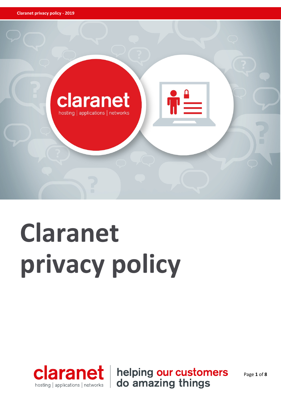

# **Claranet privacy policy**



helping our customers<br>do amazing things

Page **1** of **8**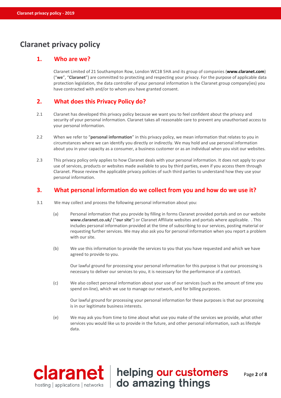# **Claranet privacy policy**

# **1. Who are we?**

Claranet Limited of 21 Southampton Row, London WC1B 5HA and its group of companies (**[www.claranet.com](http://www.claranet.com/)**) ("**we**", "**Claranet**") are committed to protecting and respecting your privacy. For the purpose of applicable data protection legislation, the data controller of your personal information is the Claranet group company(ies) you have contracted with and/or to whom you have granted consent.

# **2. What does this Privacy Policy do?**

- 2.1 Claranet has developed this privacy policy because we want you to feel confident about the privacy and security of your personal information. Claranet takes all reasonable care to prevent any unauthorised access to your personal information.
- 2.2 When we refer to "**personal information**" in this privacy policy, we mean information that relates to you in circumstances where we can identify you directly or indirectly. We may hold and use personal information about you in your capacity as a consumer, a business customer or as an individual when you visit our websites.
- 2.3 This privacy policy only applies to how Claranet deals with your personal information. It does not apply to your use of services, products or websites made available to you by third parties, even if you access them through Claranet. Please review the applicable privacy policies of such third parties to understand how they use your personal information.

# **3. What personal information do we collect from you and how do we use it?**

- 3.1 We may collect and process the following personal information about you:
	- (a) Personal information that you provide by filling in forms Claranet provided portals and on our website **[www.claranet.co.uk/](http://www.claranet.co.uk/)** ("**our site**") or Claranet Affiliate websites and portals where applicable. . This includes personal information provided at the time of subscribing to our services, posting material or requesting further services. We may also ask you for personal information when you report a problem with our site.
	- (b) We use this information to provide the services to you that you have requested and which we have agreed to provide to you.

Our lawful ground for processing your personal information for this purpose is that our processing is necessary to deliver our services to you, it is necessary for the performance of a contract.

(c) We also collect personal information about your use of our services (such as the amount of time you spend on-line), which we use to manage our network, and for billing purposes.

Our lawful ground for processing your personal information for these purposes is that our processing is in our legitimate business interests.

(e) We may ask you from time to time about what use you make of the services we provide, what other services you would like us to provide in the future, and other personal information, such as lifestyle data.

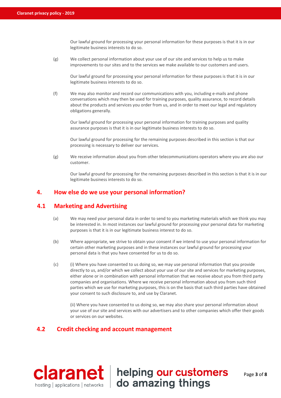Our lawful ground for processing your personal information for these purposes is that it is in our legitimate business interests to do so.

(g) We collect personal information about your use of our site and services to help us to make improvements to our sites and to the services we make available to our customers and users.

Our lawful ground for processing your personal information for these purposes is that it is in our legitimate business interests to do so.

(f) We may also monitor and record our communications with you, including e-mails and phone conversations which may then be used for training purposes, quality assurance, to record details about the products and services you order from us, and in order to meet our legal and regulatory obligations generally.

Our lawful ground for processing your personal information for training purposes and quality assurance purposes is that it is in our legitimate business interests to do so.

Our lawful ground for processing for the remaining purposes described in this section is that our processing is necessary to deliver our services.

(g) We receive information about you from other telecommunications operators where you are also our customer.

Our lawful ground for processing for the remaining purposes described in this section is that it is in our legitimate business interests to do so.

# **4. How else do we use your personal information?**

# **4.1 Marketing and Advertising**

- (a) We may need your personal data in order to send to you marketing materials which we think you may be interested in. In most instances our lawful ground for processing your personal data for marketing purposes is that it is in our legitimate business interest to do so.
- (b) Where appropriate, we strive to obtain your consent if we intend to use your personal information for certain other marketing purposes and in these instances our lawful ground for processing your personal data is that you have consented for us to do so.
- (c) (i) Where you have consented to us doing so, we may use personal information that you provide directly to us, and/or which we collect about your use of our site and services for marketing purposes, either alone or in combination with personal information that we receive about you from third party companies and organisations. Where we receive personal information about you from such third parties which we use for marketing purposes, this is on the basis that such third parties have obtained your consent to such disclosure to, and use by Claranet.

(ii) Where you have consented to us doing so, we may also share your personal information about your use of our site and services with our advertisers and to other companies which offer their goods or services on our websites.

# **4.2 Credit checking and account management**



Page **3** of **8**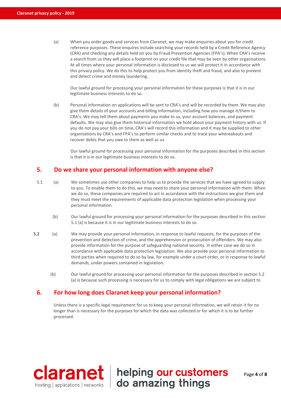(a) When you order goods and services from Claranet, we may make enquiries about you for credit reference purposes. These enquires include searching your records held by a Credit Reference Agency (CRA) and checking any details held on you by Fraud Prevention Agencies (FPA's). When CRA's receive a search from us they will place a footprint on your credit file that may be seen by other organisations. At all times where your personal information is disclosed to us we will protect it in accordance with this privacy policy. We do this to help protect you from identity theft and fraud, and also to prevent and detect crime and money laundering.

Our lawful ground for processing your personal information for these purposes is that it is in our legitimate business interests to do so.

(b) Personal information on applications will be sent to CRA's and will be recorded by them. We may also give them details of your accounts and billing information, including how you manage it/them to CRA's. We may tell them about payments you make to us, your account balances, and payment defaults. We may also give them historical information we hold about your payment history with us. If you do not pay your bills on time, CRA's will record this information and it may be supplied to other organisations by CRA's and FPA's to perform similar checks and to trace your whereabouts and recover debts that you owe to them as well as us.

Our lawful ground for processing your personal information for the purposes described in this section is that it is in our legitimate business interests to do so.

# **5. Do we share your personal information with anyone else?**

- 5.1 (a) We sometimes use other companies to help us to provide the services that we have agreed to supply to you. To enable them to do this, we may need to share your personal information with them. When we do so, these companies are required to act in accordance with the instructions we give them and they must meet the requirements of applicable data protection legislation when processing your personal information.
	- (b) Our lawful ground for processing your personal information for the purposes described in this section 5.1 (a) is because it is in our legitimate business interests to do so.
- 5.2 (a) We may provide your personal information, in response to lawful requests, for the purposes of the prevention and detection of crime, and the apprehension or prosecution of offenders. We may also provide information for the purpose of safeguarding national security. In either case we do so in accordance with applicable data protection legislation. We also provide your personal information to third parties when required to do so by law, for example under a court order, or in response to lawful demands, under powers contained in legislation.
	- (b) Our lawful ground for processing your personal information for the purposes described in section 5.2 (a) is because such processing is necessary for us to comply with legal obligations we are subject to

# **6. For how long does Claranet keep your personal information?**

Unless there is a specific legal requirement for us to keep your personal information, we will retain it for no longer than is necessary for the purposes for which the data was collected or for which it is to be further processed.

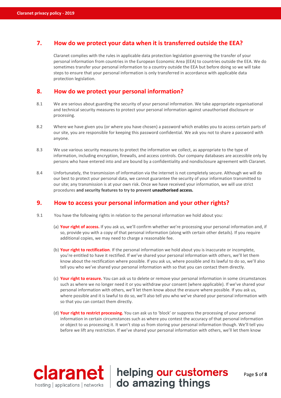# **7. How do we protect your data when it is transferred outside the EEA?**

Claranet complies with the rules in applicable data protection legislation governing the transfer of your personal information from countries in the European Economic Area (EEA) to countries outside the EEA. We do sometimes transfer your personal information to a country outside the EEA but before doing so we will take steps to ensure that your personal information is only transferred in accordance with applicable data protection legislation.

# **8. How do we protect your personal information?**

- 8.1 We are serious about guarding the security of your personal information. We take appropriate organisational and technical security measures to protect your personal information against unauthorised disclosure or processing.
- 8.2 Where we have given you (or where you have chosen) a password which enables you to access certain parts of our site, you are responsible for keeping this password confidential. We ask you not to share a password with anyone.
- 8.3 We use various security measures to protect the information we collect, as appropriate to the type of information, including encryption, firewalls, and access controls. Our company databases are accessible only by persons who have entered into and are bound by a confidentiality and nondisclosure agreement with Claranet.
- 8.4 Unfortunately, the transmission of information via the internet is not completely secure. Although we will do our best to protect your personal data, we cannot guarantee the security of your information transmitted to our site; any transmission is at your own risk. Once we have received your information, we will use strict procedures **and security features to try to prevent unauthorised access.**

### **9. How to access your personal information and your other rights?**

- 9.1 You have the following rights in relation to the personal information we hold about you:
	- (a) **Your right of access.** If you ask us, we'll confirm whether we're processing your personal information and, if so, provide you with a copy of that personal information (along with certain other details). If you require additional copies, we may need to charge a reasonable fee.
	- (b) **Your right to rectification**. If the personal information we hold about you is inaccurate or incomplete, you're entitled to have it rectified. If we've shared your personal information with others, we'll let them know about the rectification where possible. If you ask us, where possible and its lawful to do so, we'll also tell you who we've shared your personal information with so that you can contact them directly.
	- (c) **Your right to erasure.** You can ask us to delete or remove your personal information in some circumstances such as where we no longer need it or you withdraw your consent (where applicable). If we've shared your personal information with others, we'll let them know about the erasure where possible. If you ask us, where possible and it is lawful to do so, we'll also tell you who we've shared your personal information with so that you can contact them directly.
	- (d) **Your right to restrict processing.** You can ask us to 'block' or suppress the processing of your personal information in certain circumstances such as where you contest the accuracy of that personal information or object to us processing it. It won't stop us from storing your personal information though. We'll tell you before we lift any restriction. If we've shared your personal information with others, we'll let them know

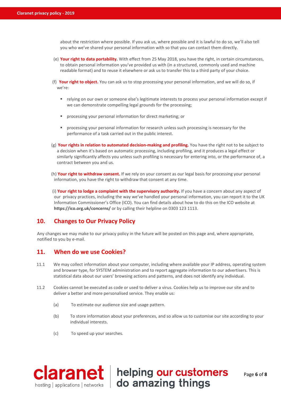about the restriction where possible. If you ask us, where possible and it is lawful to do so, we'll also tell you who we've shared your personal information with so that you can contact them directly.

- (e) **Your right to data portability.** With effect from 25 May 2018, you have the right, in certain circumstances, to obtain personal information you've provided us with (in a structured, commonly used and machine readable format) and to reuse it elsewhere or ask us to transfer this to a third party of your choice.
- (f) **Your right to object.** You can ask us to stop processing your personal information, and we will do so, if we're:
	- relying on our own or someone else's legitimate interests to process your personal information except if we can demonstrate compelling legal grounds for the processing;
	- processing your personal information for direct marketing; or
	- processing your personal information for research unless such processing is necessary for the performance of a task carried out in the public interest.
- (g) **Your rights in relation to automated decision-making and profiling.** You have the right not to be subject to a decision when it's based on automatic processing, including profiling, and it produces a legal effect or similarly significantly affects you unless such profiling is necessary for entering into, or the performance of, a contract between you and us.
- (h) **Your right to withdraw consent.** If we rely on your consent as our legal basis for processing your personal information, you have the right to withdraw that consent at any time.
- (i) **Your right to lodge a complaint with the supervisory authority.** If you have a concern about any aspect of our privacy practices, including the way we've handled your personal information, you can report it to the UK Information Commissioner's Office (ICO). You can find details about how to do this on the ICO website at **<https://ico.org.uk/concerns/>** or by calling their helpline on 0303 123 1113.

# **10. Changes to Our Privacy Policy**

Any changes we may make to our privacy policy in the future will be posted on this page and, where appropriate, notified to you by e-mail.

# **11. When do we use Cookies?**

- 11.1 We may collect information about your computer, including where available your IP address, operating system and browser type, for SYSTEM administration and to report aggregate information to our advertisers. This is statistical data about our users' browsing actions and patterns, and does not identify any individual.
- 11.2 Cookies cannot be executed as code or used to deliver a virus. Cookies help us to improve our site and to deliver a better and more personalised service. They enable us:
	- (a) To estimate our audience size and usage pattern.
	- (b) To store information about your preferences, and so allow us to customise our site according to your individual interests.
	- (c) To speed up your searches.

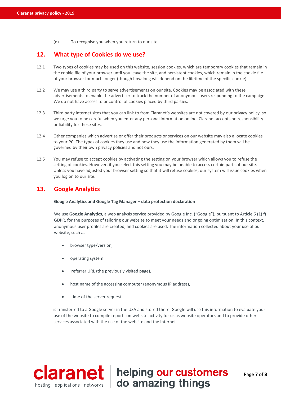(d) To recognise you when you return to our site.

# **12. What type of Cookies do we use?**

- 12.1 Two types of cookies may be used on this website, session cookies, which are temporary cookies that remain in the cookie file of your browser until you leave the site, and persistent cookies, which remain in the cookie file of your browser for much longer (though how long will depend on the lifetime of the specific cookie).
- 12.2 We may use a third party to serve advertisements on our site. Cookies may be associated with these advertisements to enable the advertiser to track the number of anonymous users responding to the campaign. We do not have access to or control of cookies placed by third parties.
- 12.3 Third party internet sites that you can link to from Claranet's websites are not covered by our privacy policy, so we urge you to be careful when you enter any personal information online. Claranet accepts no responsibility or liability for these sites.
- 12.4 Other companies which advertise or offer their products or services on our website may also allocate cookies to your PC. The types of cookies they use and how they use the information generated by them will be governed by their own privacy policies and not ours.
- 12.5 You may refuse to accept cookies by activating the setting on your browser which allows you to refuse the setting of cookies. However, if you select this setting you may be unable to access certain parts of our site. Unless you have adjusted your browser setting so that it will refuse cookies, our system will issue cookies when you log on to our site.

# **13. Google Analytics**

### **Google Analytics and Google Tag Manager – data protection declaration**

We use Google Analytics, a web analysis service provided by Google Inc. ("Google"), pursuant to Article 6 (1) f) GDPR, for the purposes of tailoring our website to meet your needs and ongoing optimisation. In this context, anonymous user profiles are created, and cookies are used. The information collected about your use of our website, such as

- browser type/version,
- operating system
- referrer URL (the previously visited page),
- host name of the accessing computer (anonymous IP address),
- time of the server request

is transferred to a Google server in the USA and stored there. Google will use this information to evaluate your use of the website to compile reports on website activity for us as website operators and to provide other services associated with the use of the website and the Internet.